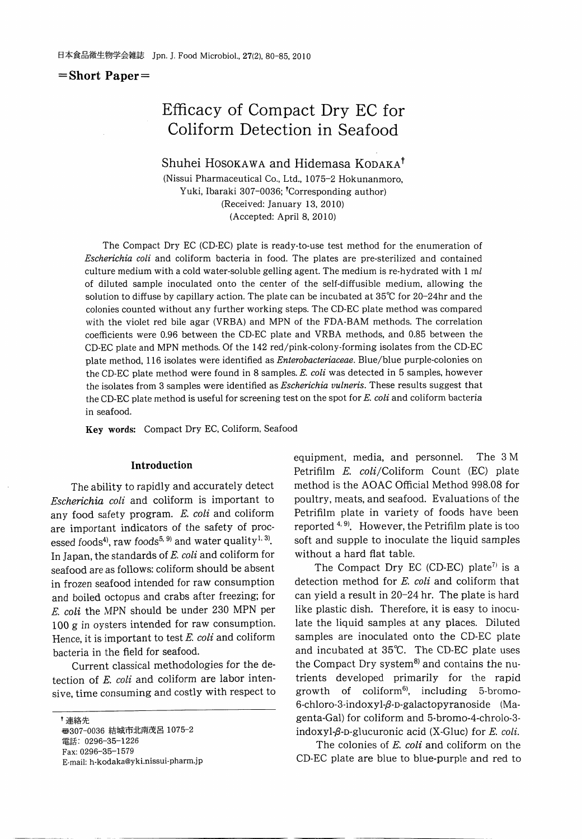$=$ Short Paper $=$ 

## Efficacy of Compact Dry EC for Coliform Detection in Seafood

Shuhei Hosokawa and Hidemasa Kodaka<sup>†</sup>

(Nissui Pharmaceutical Co., Ltd., 1075-2 Hokunanmoro, Yuki, Ibaraki 307-0036; <sup>†</sup>Corresponding author) (Received: January 13, 2010) (Accepted: April 8, 2010)

The Compact Dry EC (CD-EC) plate is ready-to-use test method for the enumeration of Escherichia coli and coliform bacteria in food. The plates are pre-sterilized and contained culture medium with a cold water-soluble gelling agent. The medium is re-hydrated with  $1 \text{ ml}$ of diluted sample inoculated onto the center of the self-diffusible medium, allowing the solution to diffuse by capillary action. The plate can be incubated at  $35^{\circ}$  for 20-24hr and the colonies counted without any further working steps. The CD-EC plate method was compared with the violet red bile agar (VRBA) and MPN of the FDA-BAM methods. The correlation coefficients were 0.96 between the CD-EC plate and VRBA methods, and 0.85 between the CD-EC plate and MPN methods. Of the <sup>142</sup> red/pink-colony-forming isolates from the CD-EC plate method, 116 isolates were identified as Enterobacteriaceae. Blue/blue purple-colonies on the CD-EC plate method were found in 8 samples. E. coli was detected in 5 samples, however the isolates from 3 samples were identified as *Escherichia vulneris*. These results suggest that the CD-EC plate method is useful for screening test on the spot for E. coli and coliform bacteria in seafood.

Key words: Compact Dry EC, Coliform, Seafood

#### Introduction

The ability to rapidly and accurately detect Escherichia coli and coliform is important to any food safety program. E. coli and coliform are important indicators of the safety of processed foods<sup>4</sup>, raw foods<sup>5, 9)</sup> and water quality<sup>1, 3</sup>. In Japan, the standards of E. coli and coliform for seafood are as follows: coliform should be absent in frozen seafood intended for raw consumption and boiled octopus and crabs after freezing; for E. coli the MPN should be under <sup>230</sup> MPN per 100 g in oysters intended for raw consumption. Hence, it is important to test  $E$ . coli and coliform bacteria in the field for seafood.

Current classical methodologies for the de tection of  $E.$  coli and coliform are labor intensive, time consuming and costly with respect to

†連絡先 **◎307-0036 結城市北南茂呂 1075-2** 電話: 0296-35-1226 Fax: 0296-35-1579 E-mail: h-kodaka@yki.nissui-pharm.jp equipment, media, and personnel. The 3M Petrifilm E. coli/Coliform Count (EC) plate method is the AOAC Official Method 998.08 for poultry, meats, and seafood. Evaluations of the Petrifilm plate in variety of foods have been reported  $4, 9$ . However, the Petrifilm plate is too soft and supple to inoculate the liquid samples without a hard flat table.

The Compact Dry EC (CD-EC) plate<sup>7)</sup> is a detection method for E. coli and coliform that can yield a result in  $20-24$  hr. The plate is hard like plastic dish. Therefore, it is easy to inocu late the liquid samples at any places. Diluted samples are inoculated onto the CD-EC plate and incubated at 35°C. The CD-EC plate uses the Compact Dry system<sup>8)</sup> and contains the nutrients developed primarily for the rapid growth of coliform<sup>6</sup>, including 5-bromo-6-chloro-3-indoxyl- $\beta$ -D-galactopyranoside (Magenta-Gal) for coliform and 5-bromo-4-chrolo-3 indoxyl- $\beta$ -D-glucuronic acid (X-Gluc) for E. coli.

The colonies of E. coli and coliform on the CD-EC plate are blue to blue-purple and red to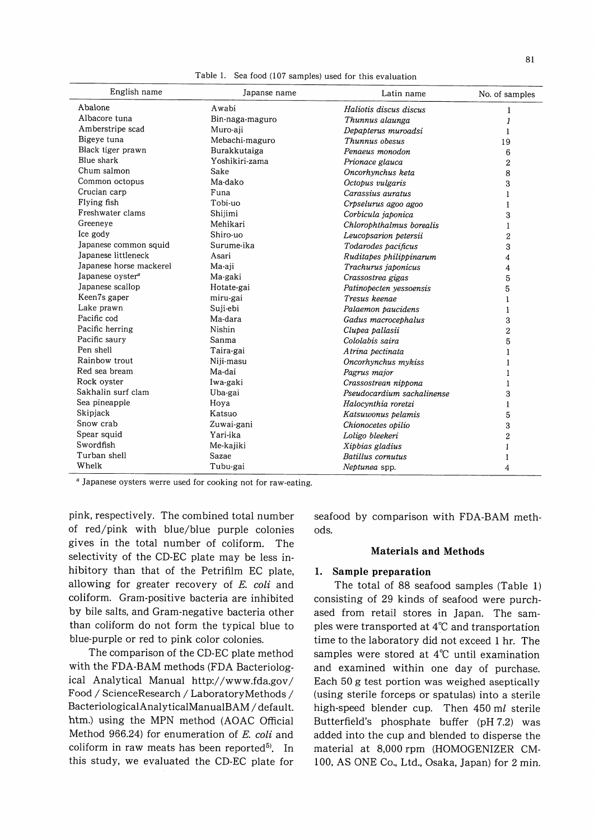| English name                 | Japanse name    | Latin name                 | No. of samples     |
|------------------------------|-----------------|----------------------------|--------------------|
| Abalone                      | Awabi           | Haliotis discus discus     | 1                  |
| Albacore tuna                | Bin-naga-maguro | Thunnus alaunga            | 1                  |
| Amberstripe scad             | Muro-aji        | Depapterus muroadsi        | 1                  |
| Bigeye tuna                  | Mebachi-maguro  | Thunnus obesus             | 19                 |
| Black tiger prawn            | Burakkutaiga    | Penaeus monodon            | 6                  |
| Blue shark                   | Yoshikiri-zama  | Prionace glauca            | $\overline{2}$     |
| Chum salmon                  | Sake            | Oncorhynchus keta          | 8                  |
| Common octopus               | Ma-dako         | Octopus vulgaris           | 3                  |
| Crucian carp                 | Funa            | Carassius auratus          |                    |
| Flying fish                  | Tobi-uo         | Crpselurus agoo agoo       | 1                  |
| Freshwater clams             | Shijimi         | Corbicula japonica         | 3                  |
| Greeneye                     | Mehikari        | Chlorophthalmus borealis   | $\mathbf{1}$       |
| Ice gody                     | Shiro-uo        | Leucopsarion petersii      | $\overline{2}$     |
| Japanese common squid        | Surume-ika      | Todarodes pacificus        | 3                  |
| Japanese littleneck          | Asari           | Ruditapes philippinarum    | $\overline{\bf 4}$ |
| Japanese horse mackerel      | Ma-aii          | Trachurus japonicus        | 4                  |
| Japanese oyster <sup>a</sup> | Ma-gaki         | Crassostrea gigas          | 5                  |
| Japanese scallop             | Hotate-gai      | Patinopecten yessoensis    | 5                  |
| Keen7s gaper                 | miru-gai        | Tresus keenae              | 1                  |
| Lake prawn                   | Suji-ebi        | Palaemon paucidens         | 1                  |
| Pacific cod                  | Ma-dara         | Gadus macrocephalus        | 3                  |
| Pacific herring              | Nishin          | Clupea pallasii            | $\overline{2}$     |
| Pacific saurv                | Sanma           | Cololabis saira            | 5                  |
| Pen shell                    | Taira-gai       | Atrina pectinata           | 1                  |
| Rainbow trout                | Niji-masu       | Oncorhynchus mykiss        | 1                  |
| Red sea bream                | Ma-dai          | Pagrus major               | 1                  |
| Rock oyster                  | Iwa-gaki        | Crassostrean nippona       | 1                  |
| Sakhalin surf clam           | Uba-gai         | Pseudocardium sachalinense | 3                  |
| Sea pineapple                | Hoya            | Halocynthia roretzi        | 1                  |
| Skipjack                     | Katsuo          | Katsuwonus pelamis         | 5                  |
| Snow crab                    | Zuwai-gani      | Chionocetes opilio         | 3                  |
| Spear squid                  | Yari-ika        | Loligo bleekeri            | $\overline{2}$     |
| Swordfish                    | Me-kajiki       | Xipbias gladius            | 1                  |
| Turban shell                 | Sazae           | Batillus cornutus          | 1                  |
| Whelk                        | Tubu-gai        | Neptunea spp.              | 4                  |

Table 1. Sea food (107 samples) used for this evaluation

Japanese oysters werre used for cooking not for raw-eating.

pink, respectively. The combined total number of red/pink with blue/blue purple colonies gives in the total number of coliform. The selectivity of the CD-EC plate may be less inhibitory than that of the Petrifilm EC plate, allowing for greater recovery of E. coli and coliform. Gram-positive bacteria are inhibited by bile salts, and Gram-negative bacteria other than coliform do not form the typical blue to blue-purple or red to pink color colonies.

The comparison of the CD-EC plate method with the FDA-BAM methods (FDA Bacteriological Analytical Manual http://www.fda.gov/ Food / ScienceResearch / LaboratoryMethods / BacteriologicalAnalyticalManualBAM / default. htm.) using the MPN method (AOAC Official Method 966.24) for enumeration of E. coli and coliform in raw meats has been reported<sup>5)</sup>. In this study, we evaluated the CD-EC plate for seafood by comparison with FDA-BAM meth ods.

## Materials and Methods

## 1. Sample preparation

The total of 88 seafood samples (Table 1) consisting of 29 kinds of seafood were purchased from retail stores in Japan. The sam ples were transported at 4°C and transportation time to the laboratory did not exceed 1 hr. The samples were stored at 4°C until examination and examined within one day of purchase. Each 50 g test portion was weighed aseptically (using sterile forceps or spatulas) into a sterile high-speed blender cup. Then 450 ml sterile Butterfield's phosphate buffer (pH 7.2) was added into the cup and blended to disperse the material at 8,000 rpm (HOMOGENIZER CM-100, AS ONE Co., Ltd., Osaka, Japan) for 2 min.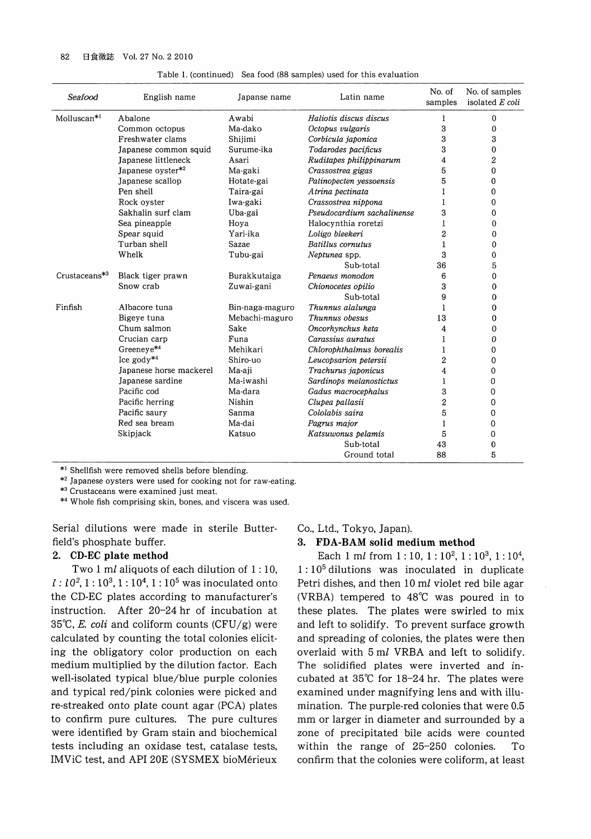| Seafood                   | English name            | Japanse name    | Latin name                 | No. of<br>samples | No. of samples<br>isolated E coli |
|---------------------------|-------------------------|-----------------|----------------------------|-------------------|-----------------------------------|
| Molluscan <sup>*1</sup>   | Abalone                 | Awabi           | Haliotis discus discus     | 1                 | 0                                 |
|                           | Common octopus          | Ma-dako         | Octopus vulgaris           | 3                 | 0                                 |
|                           | Freshwater clams        | Shijimi         | Corbicula japonica         | 3                 | 3                                 |
|                           | Japanese common squid   | Surume-ika      | Todarodes pacificus        | 3                 | 0                                 |
|                           | Japanese littleneck     | Asari           | Ruditapes philippinarum    | 4                 | 2                                 |
|                           | Japanese oyster*2       | Ma-gaki         | Crassostrea gigas          | 5                 | 0                                 |
|                           | Japanese scallop        | Hotate-gai      | Patinopecten yessoensis    | 5                 | 0                                 |
|                           | Pen shell               | Taira-gai       | Atrina pectinata           | 1                 | 0                                 |
|                           | Rock ovster             | Iwa-gaki        | Crassostrea nippona        | 1                 | 0                                 |
|                           | Sakhalin surf clam      | Uba-gai         | Pseudocardium sachalinense | 3                 | 0                                 |
|                           | Sea pineapple           | Hoya            | Halocynthia roretzi        | 1                 | 0                                 |
|                           | Spear squid             | Yari ika        | Loligo bleekeri            | $\overline{c}$    | 0                                 |
|                           | Turban shell            | Sazae           | Batillus cornutus          | 1                 | 0                                 |
|                           | Whelk                   | Tubu-gai        | Neptunea spp.              | 3                 | 0                                 |
|                           |                         |                 | Sub-total                  | 36                | 5                                 |
| Crustaceans <sup>*3</sup> | Black tiger prawn       | Burakkutaiga    | Penaeus monodon            | 6                 | 0                                 |
|                           | Snow crab               | Zuwai-gani      | Chionocetes opilio         | 3                 | 0                                 |
|                           |                         |                 | Sub-total                  | 9                 | 0                                 |
| Finfish                   | Albacore tuna           | Bin-naga-maguro | Thunnus alalunga           | 1                 | $\mathbf 0$                       |
|                           | Bigeye tuna             | Mebachi-maguro  | Thunnus obesus             | 13                | 0                                 |
|                           | Chum salmon             | Sake            | Oncorhynchus keta          | 4                 | 0                                 |
|                           | Crucian carp            | Funa            | Carassius auratus          | 1                 | 0                                 |
|                           | Greeneye*4              | Mehikari        | Chlorophthalmus borealis   | 1                 | 0                                 |
|                           | Ice $\text{gcdy}^{*4}$  | Shiro-uo        | Leucopsarion petersii      | 2                 | 0                                 |
|                           | Japanese horse mackerel | Ma-aji          | Trachurus japonicus        | 4                 | 0                                 |
|                           | Japanese sardine        | Ma-iwashi       | Sardinops melanostictus    | 1                 | 0                                 |
|                           | Pacific cod             | Ma-dara         | Gadus macrocephalus        | 3                 | 0                                 |
|                           | Pacific herring         | Nishin          | Clupea pallasii            | $\overline{2}$    | 0                                 |
|                           | Pacific saury           | Sanma           | Cololabis saira            | 5                 | 0                                 |
|                           | Red sea bream           | Ma-dai          | Pagrus major               | 1                 | 0                                 |
|                           | Skipjack                | Katsuo          | Katsuwonus pelamis         | 5                 | 0                                 |
|                           |                         |                 | Sub-total                  | 43                | 0                                 |
|                           |                         |                 | Ground total               | 88                | 5                                 |

Table 1. (continued) Sea food (88 samples) used for this evaluation

\*! Shellfish were removed Shells before blending.

\*2 Japanese oysters were used for cooking not for raw-eating.

\*3 Crustaceans were examined just meat.

\*4 Whole fish comprising skin, bones, and viscera was used.

Serial dilutions were made in sterile Butterfield's phosphate buffer.

## 2. CD-EC plate method

Two 1 ml aliquots of each dilution of  $1:10$ ,  $l: 10^2, 1: 10^3, 1: 10^4, 1: 10^5$  was inoculated onto the CD-EC plates according to manufacturer's instruction. After 20-24 hr of incubation at 35°C, E. coli and coliform counts  $(CFU/g)$  were calculated by counting the total colonies eliciting the obligatory color production on each medium multiplied by the dilution factor. Each well-isolated typical blue/blue purple colonies and typical red/pink colonies were picked and re-streaked onto plate count agar (PCA) plates to confirm pure cultures. The pure cultures were identified by Gram stain and biochemical tests including an oxidase test, catalase tests, IMViC test, and API 20E (SYSMEX bioMerieux

## Co., Ltd., Tokyo, Japan).

### 3. FDA-BAM solid medium method

Each 1 ml from  $1:10, 1:10^2, 1:10^3, 1:10^4$ , :105 dilutions was inoculated in duplicate Petri dishes, and then 10 ml violet red bile agar (VRBA) tempered to 48°C was poured in to these plates. The plates were swirled to mix and left to solidify. To prevent surface growth and spreading of colonies, the plates were then overlaid with 5 ml VRBA and left to solidify. The solidified plates were inverted and incubated at 35°C for 18-24 hr. The plates were examined under magnifying lens and with illumination. The purple-red colonies that were 0.5 mm or larger in diameter and surrounded by zone of precipitated bile acids were counted within the range of 25-250 colonies. To confirm that the colonies were coliform, at least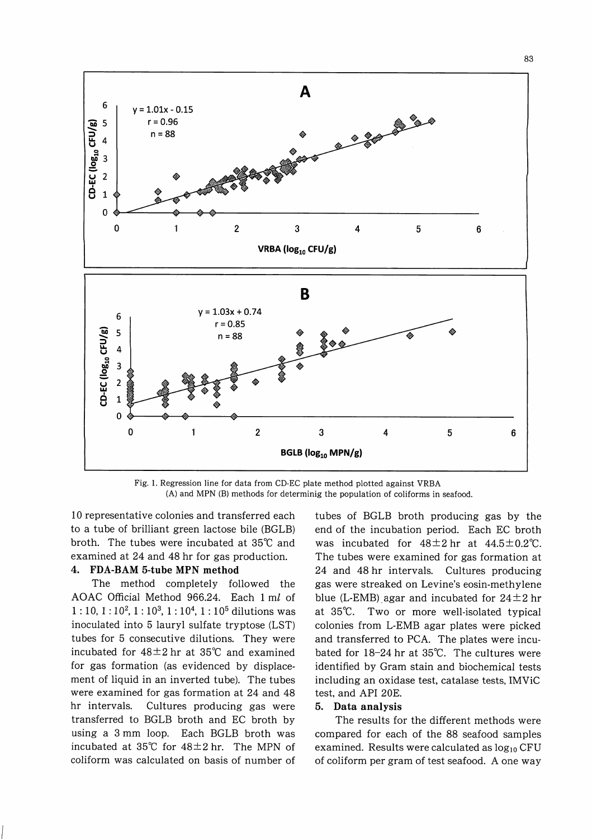

Fig. 1. Regression line for data from CD-EC plate method plotted against VRBA (A) and MPN (B) methods for determinig the population of coliforms in seafood.

10 representative colonies and transferred each to a tube of brilliant green lactose bile (BGLB) broth. The tubes were incubated at 35°C and examined at 24 and 48 hr for gas production.

## 4. FDA-BAM 5-tube MPN method

The method completely followed the AOAC Official Method 966.24. Each 1 ml of  $1:10, 1:10^{2}, 1:10^{3}, 1:10^{4}, 1:10^{5}$  dilutions was inoculated into 5 lauryl sulfate tryptose (LST) tubes for 5 consecutive dilutions. They were incubated for  $48\pm2$  hr at  $35^{\circ}$  and examined for gas formation (as evidenced by displacement of liquid in an inverted tube). The tubes were examined for gas formation at 24 and 48 hr intervals. Cultures producing gas were transferred to BGLB broth and EC broth by using a 3 mm loop. Each BGLB broth was incubated at 35°C for 48±2hr. The MPN of coliform was calculated on basis of number of tubes of BGLB broth producing gas by the end of the incubation period. Each EC broth was incubated for  $48 \pm 2$  hr at  $44.5 \pm 0.2$ °C. The tubes were examined for gas formation at 24 and 48 hr intervals. Cultures producing gas were streaked on Levine's eosin-methylene blue (L-EMB) agar and incubated for  $24 \pm 2$  hr at 35°C. Two or more well-isolated typical colonies from L-EMB agar plates were picked and transferred to PCA. The plates were incu bated for 18-24 hr at 35°C. The cultures were identified by Gram stain and biochemical tests including an oxidase test, catalase tests, IMViC test, and API 20E.

## 5. Data analysis

The results for the different methods were compared for each of the 88 seafood samples examined. Results were calculated as  $log_{10}$  CFU of coliform per gram of test seafood. A one way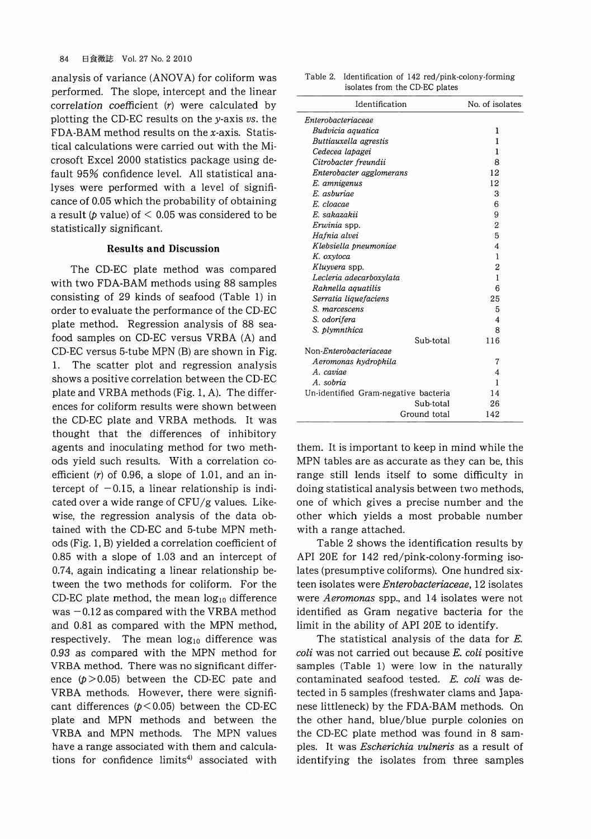analysis of variance (ANOVA) for coliform was performed. The slope, intercept and the linear correlation coefficient  $(r)$  were calculated by plotting the CD-EC results on the y-axis  $vs.$  the FDA-BAM method results on the  $x$ -axis. Statistical calculations were carried out with the Mi crosoft Excel 2000 statistics package using de fault 95% confidence level. All statistical analyses were performed with a level of significance of 0.05 which the probability of obtaining a result ( $p$  value) of  $\leq 0.05$  was considered to be statistically significant.

## Results and Discussion

The CD-EC plate method was compared with two FDA-BAM methods using 88 samples consisting of 29 kinds of seafood (Table 1) in order to evaluate the performance of the CD-EC plate method. Regression analysis of 88 sea food samples on CD-EC versus VRBA (A) and CD-EC versus 5-tube MPN (B) are shown in Fig. 1. The scatter plot and regression analysis shows a positive correlation between the CD-EC plate and VRBA methods (Fig. 1, A). The differences for coliform results were shown between the CD-EC plate and VRBA methods. It was thought that the differences of inhibitory agents and inoculating method for two meth ods yield such results. With a correlation coefficient  $(r)$  of 0.96, a slope of 1.01, and an intercept of  $-0.15$ , a linear relationship is indicated over a wide range of  $CFU/g$  values. Likewise, the regression analysis of the data obtained with the CD-EC and 5-tube MPN meth ods (Fig. 1, B) yielded a correlation coefficient of  $0.85$  with a slope of  $1.03$  and an intercept of  $0.74$ , again indicating a linear relationship between the two methods for coliform. For the CD-EC plate method, the mean  $log_{10}$  difference was  $-0.12$  as compared with the VRBA method and 0.81 as compared with the MPN method, respectively. The mean  $log_{10}$  difference was 0.93 as compared with the MPN method for VRBA method. There was no significant differ ence  $(p > 0.05)$  between the CD-EC pate and VRBA methods. However, there were signifi cant differences ( $p < 0.05$ ) between the CD-EC plate and MPN methods and between the VRBA and MPN methods. The MPN values have a range associated with them and calculations for confidence limits<sup>4)</sup> associated with

| Table 2. Identification of 142 red/pink-colony-forming |  |
|--------------------------------------------------------|--|
| isolates from the CD-EC plates                         |  |

| Identification                       | No. of isolates |
|--------------------------------------|-----------------|
| Enterobacteriaceae                   |                 |
| Budvicia aquatica                    | 1               |
| Buttiauxella agrestis                | 1               |
| Cedecea lapagei                      | 1               |
| Citrobacter freundii                 | 8               |
| Enterobacter agglomerans             | 12              |
| E. amnigenus                         | 12              |
| E. asburiae                          | 3               |
| E. cloacae                           | 6               |
| E. sakazakii                         | 9               |
| Erwinia spp.                         | 2               |
| Hafnia alvei                         | 5               |
| Klebsiella pneumoniae                | 4               |
| K. oxytoca                           | 1               |
| Kluyvera spp.                        | $\overline{2}$  |
| Lecleria adecarboxylata              | 1               |
| Rahnella aquatilis                   | 6               |
| Serratia liquefaciens                | 25              |
| S. marcescens                        | 5               |
| S. odorifera                         | 4               |
| S. plymnthica                        | 8               |
| Sub-total                            | 116             |
| Non- <i>Enterobacteriaceae</i>       |                 |
| Aeromonas hydrophila                 | 7               |
| A. caviae                            | 4               |
| A. sobria                            | 1               |
| Un-identified Gram-negative bacteria | 14              |
| Sub-total                            | 26              |
| Ground total                         | 142             |

them. It is important to keep in mind while the MPN tables are as accurate as they can be, this range still lends itself to some difficulty in doing statistical analysis between two methods, one of which gives a precise number and the other which yields a most probable number with a range attached.

Table 2 shows the identification results by API 20E for 142 red/pink-colony-forming iso lates (presumptive coliforms). One hundred sixteen isolates were Enterobacteriaceae, 12 isolates were Aeromonas spp., and 14 isolates were not identified as Gram negative bacteria for the limit in the ability of API 20E to identify.

The statistical analysis of the data for E. coli was not carried out because E. coli positive samples (Table 1) were low in the naturally contaminated seafood tested. E. coli was detected in 5 samples (freshwater clams and Japanese littleneck) by the FDA-BAM methods. On the other hand, blue/blue purple colonies on the CD-EC plate method was found in 8 samples. It was *Escherichia vulneris* as a result of identifying the isolates from three samples